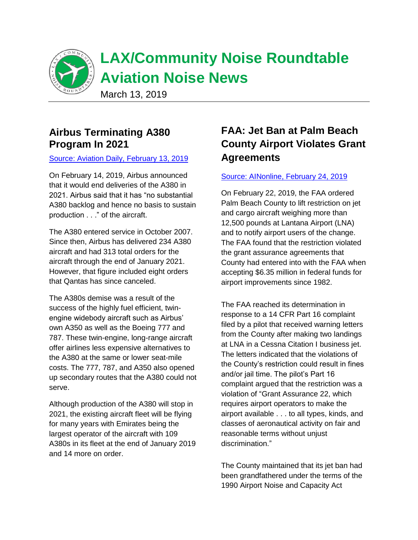

# **Airbus Terminating A380 Program In 2021**

#### [Source: Aviation Daily, February 13, 2019](https://aviationweek.com/commercial-aviation/airbus-terminating-a380-program-2021?NL=AW-05&Issue=AW-05_20190214_AW-05_397&sfvc4enews=42&cl=article_1&utm_rid=CPEN1000001683118&utm_campaign=18498&utm_medium=email&elq2=879c8df7a160465e92decf435ad9a366)

On February 14, 2019, Airbus announced that it would end deliveries of the A380 in 2021. Airbus said that it has "no substantial A380 backlog and hence no basis to sustain production . . ." of the aircraft.

The A380 entered service in October 2007. Since then, Airbus has delivered 234 A380 aircraft and had 313 total orders for the aircraft through the end of January 2021. However, that figure included eight orders that Qantas has since canceled.

The A380s demise was a result of the success of the highly fuel efficient, twinengine widebody aircraft such as Airbus' own A350 as well as the Boeing 777 and 787. These twin-engine, long-range aircraft offer airlines less expensive alternatives to the A380 at the same or lower seat-mile costs. The 777, 787, and A350 also opened up secondary routes that the A380 could not serve.

Although production of the A380 will stop in 2021, the existing aircraft fleet will be flying for many years with Emirates being the largest operator of the aircraft with 109 A380s in its fleet at the end of January 2019 and 14 more on order.

# **FAA: Jet Ban at Palm Beach County Airport Violates Grant Agreements**

#### [Source: AINonline, February 24, 2019](https://www.ainonline.com/aviation-news/business-aviation/2019-02-24/faa-jet-ban-lna-violates-grant-agreements?utm_campaign=AIN%20Alerts&utm_source=hs_email&utm_medium=email&utm_content=70226764&_hsenc=p2ANqtz-8nM0lzBw-c3rlgXFB_IMPE9qj6gQwYRCF-IQIgztzJzkzuZiLjkd28JphqHNNuB9czY0sd2q7ftn62iveLsknzdPQJhw&_hsmi=70226764)

On February 22, 2019, the FAA ordered Palm Beach County to lift restriction on jet and cargo aircraft weighing more than 12,500 pounds at Lantana Airport (LNA) and to notify airport users of the change. The FAA found that the restriction violated the grant assurance agreements that County had entered into with the FAA when accepting \$6.35 million in federal funds for airport improvements since 1982.

The FAA reached its determination in response to a 14 CFR Part 16 complaint filed by a pilot that received warning letters from the County after making two landings at LNA in a Cessna Citation I business jet. The letters indicated that the violations of the County's restriction could result in fines and/or jail time. The pilot's Part 16 complaint argued that the restriction was a violation of "Grant Assurance 22, which requires airport operators to make the airport available . . . to all types, kinds, and classes of aeronautical activity on fair and reasonable terms without unjust discrimination."

The County maintained that its jet ban had been grandfathered under the terms of the 1990 Airport Noise and Capacity Act